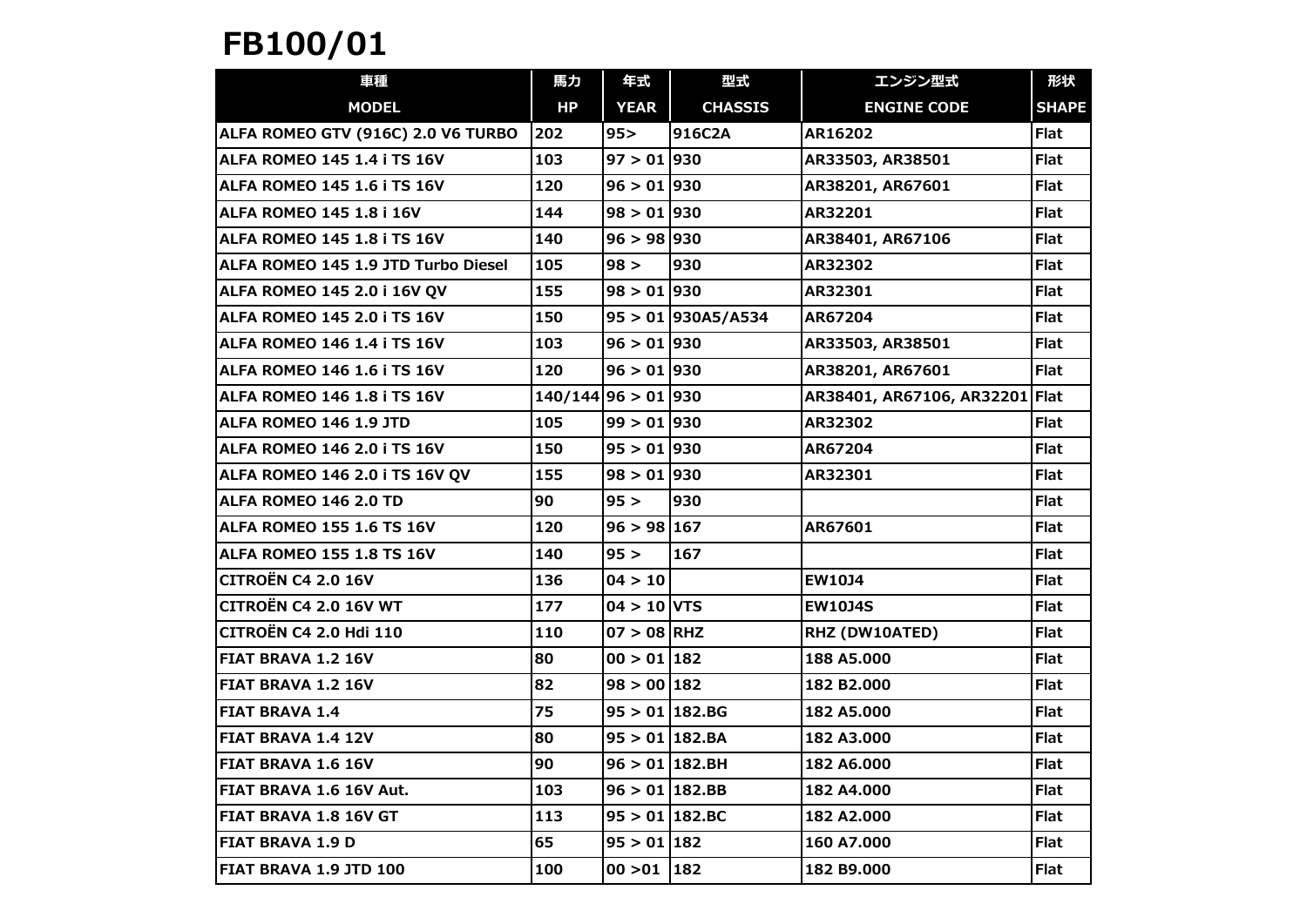## FB100/01

| 車種                                  | 馬力                     | 年式                 | 型式                   | エンジン型式                         | 形状           |
|-------------------------------------|------------------------|--------------------|----------------------|--------------------------------|--------------|
| <b>MODEL</b>                        | HP                     | <b>YEAR</b>        | <b>CHASSIS</b>       | <b>ENGINE CODE</b>             | <b>SHAPE</b> |
| ALFA ROMEO GTV (916C) 2.0 V6 TURBO  | 202                    | 95 >               | 916C2A               | AR16202                        | <b>Flat</b>  |
| ALFA ROMEO 145 1.4 i TS 16V         | 103                    | $97 > 01$ 930      |                      | AR33503, AR38501               | <b>Flat</b>  |
| <b>ALFA ROMEO 145 1.6 i TS 16V</b>  | 120                    | $96 > 01$ 930      |                      | AR38201, AR67601               | <b>Flat</b>  |
| <b>ALFA ROMEO 145 1.8 i 16V</b>     | 144                    | $98 > 01$ 930      |                      | AR32201                        | <b>Flat</b>  |
| ALFA ROMEO 145 1.8 i TS 16V         | 140                    | $96 > 98$ 930      |                      | AR38401, AR67106               | <b>Flat</b>  |
| ALFA ROMEO 145 1.9 JTD Turbo Diesel | 105                    | 98 >               | 930                  | AR32302                        | <b>Flat</b>  |
| <b>ALFA ROMEO 145 2.0 i 16V QV</b>  | 155                    | $98 > 01$ 930      |                      | AR32301                        | <b>Flat</b>  |
| ALFA ROMEO 145 2.0 i TS 16V         | 150                    |                    | $95 > 01$ 930A5/A534 | AR67204                        | <b>Flat</b>  |
| ALFA ROMEO 146 1.4 i TS 16V         | 103                    | $96 > 01$ 930      |                      | AR33503, AR38501               | <b>Flat</b>  |
| ALFA ROMEO 146 1.6 i TS 16V         | 120                    | $96 > 01$ 930      |                      | AR38201, AR67601               | <b>Flat</b>  |
| ALFA ROMEO 146 1.8 i TS 16V         | $140/144$  96 > 01 930 |                    |                      | AR38401, AR67106, AR32201 Flat |              |
| ALFA ROMEO 146 1.9 JTD              | 105                    | $99 > 01$ 930      |                      | AR32302                        | <b>Flat</b>  |
| ALFA ROMEO 146 2.0 i TS 16V         | 150                    | $95 > 01$ 930      |                      | AR67204                        | <b>Flat</b>  |
| ALFA ROMEO 146 2.0 i TS 16V QV      | 155                    | $98 > 01$ 930      |                      | AR32301                        | Flat         |
| ALFA ROMEO 146 2.0 TD               | 90                     | 95 >               | 930                  |                                | <b>Flat</b>  |
| ALFA ROMEO 155 1.6 TS 16V           | 120                    | 96 > 98 167        |                      | AR67601                        | <b>Flat</b>  |
| ALFA ROMEO 155 1.8 TS 16V           | 140                    | 95 >               | 167                  |                                | <b>Flat</b>  |
| <b>CITROËN C4 2.0 16V</b>           | 136                    | 04 > 10            |                      | <b>EW10J4</b>                  | <b>Flat</b>  |
| CITROËN C4 2.0 16V WT               | 177                    | $04 > 10$ VTS      |                      | <b>EW10J4S</b>                 | <b>Flat</b>  |
| CITROËN C4 2.0 Hdi 110              | 110                    | $07 > 08$ RHZ      |                      | RHZ (DW10ATED)                 | <b>Flat</b>  |
| <b>FIAT BRAVA 1.2 16V</b>           | 80                     | $00 > 01$ 182      |                      | 188 A5.000                     | <b>Flat</b>  |
| <b>FIAT BRAVA 1.2 16V</b>           | 82                     | $98 > 00$ 182      |                      | 182 B2.000                     | <b>Flat</b>  |
| <b>FIAT BRAVA 1.4</b>               | 75                     | $95 > 01$ 182.BG   |                      | 182 A5.000                     | <b>Flat</b>  |
| FIAT BRAVA 1.4 12V                  | 80                     | $95 > 01$ 182.BA   |                      | 182 A3.000                     | Flat         |
| FIAT BRAVA 1.6 16V                  | 90                     | $96 > 01$ 182.BH   |                      | 182 A6.000                     | <b>Flat</b>  |
| FIAT BRAVA 1.6 16V Aut.             | 103                    | $96 > 01$   182.BB |                      | 182 A4.000                     | <b>Flat</b>  |
| <b>FIAT BRAVA 1.8 16V GT</b>        | 113                    | $95 > 01$ 182.BC   |                      | 182 A2.000                     | <b>Flat</b>  |
| <b>FIAT BRAVA 1.9 D</b>             | 65                     | $95 > 01$ 182      |                      | 160 A7.000                     | <b>Flat</b>  |
| FIAT BRAVA 1.9 JTD 100              | 100                    | $00 > 01$   182    |                      | 182 B9.000                     | <b>Flat</b>  |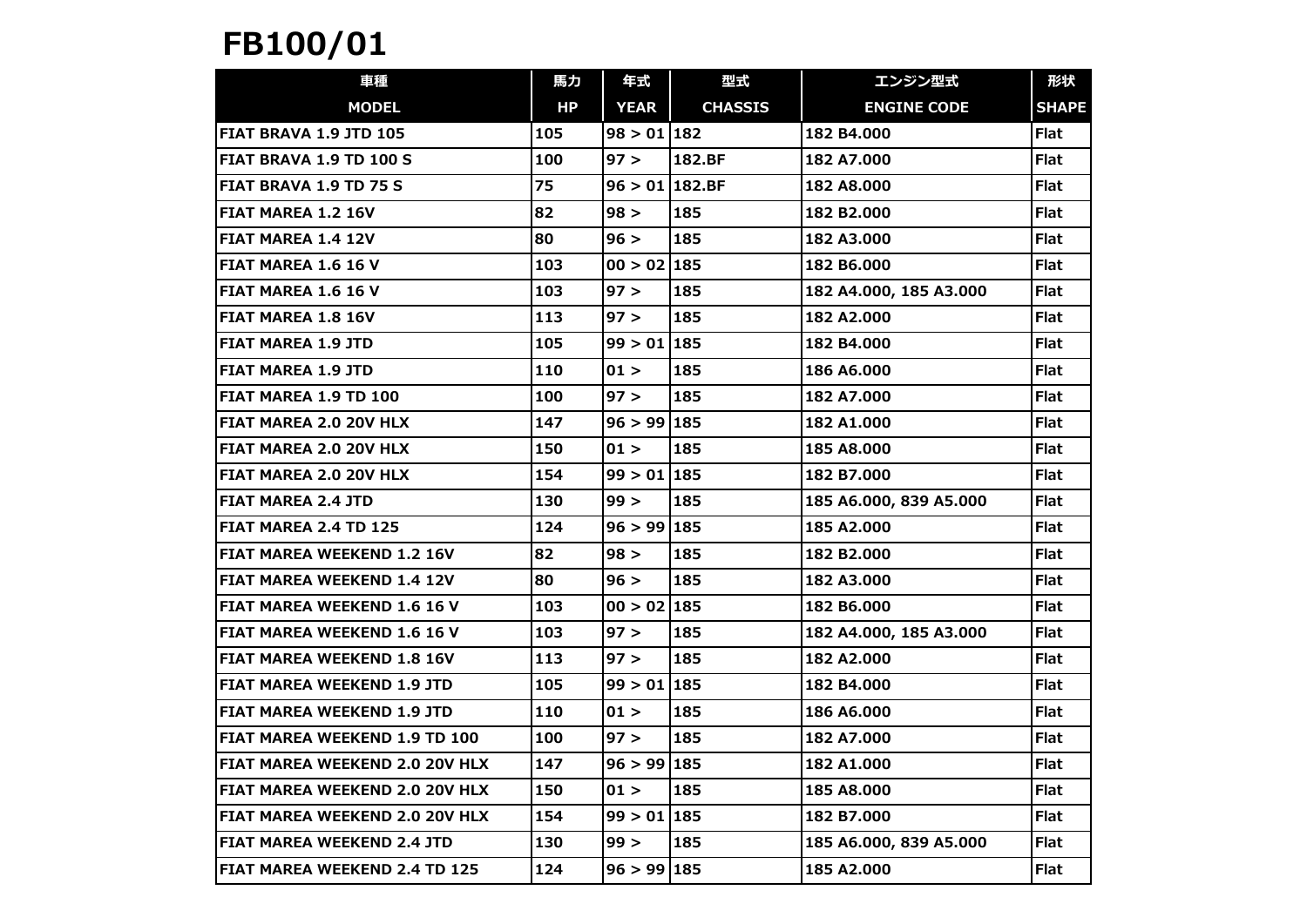## FB100/01

| 車種                                 | 馬力  | 年式             | 型式             | エンジン型式                  | 形状           |
|------------------------------------|-----|----------------|----------------|-------------------------|--------------|
| <b>MODEL</b>                       | HP  | <b>YEAR</b>    | <b>CHASSIS</b> | <b>ENGINE CODE</b>      | <b>SHAPE</b> |
| FIAT BRAVA 1.9 JTD 105             | 105 | $98 > 01$ 182  |                | 182 B4.000              | <b>Flat</b>  |
| FIAT BRAVA 1.9 TD 100 S            | 100 | 97 >           | 182.BF         | 182 A7.000              | <b>Flat</b>  |
| <b>FIAT BRAVA 1.9 TD 75 S</b>      | 75  | 96 > 011182.BF |                | 182 A8.000              | <b>Flat</b>  |
| <b>FIAT MAREA 1.2 16V</b>          | 82  | 98 >           | 185            | 182 B2.000              | <b>Flat</b>  |
| <b>FIAT MAREA 1.4 12V</b>          | 80  | 96 >           | 185            | 182 A3.000              | <b>Flat</b>  |
| FIAT MAREA 1.6 16 V                | 103 | 00 > 02   185  |                | 182 B6.000              | <b>Flat</b>  |
| <b>FIAT MAREA 1.6 16 V</b>         | 103 | 97 >           | 185            | 182 A4.000, 185 A3.000  | <b>Flat</b>  |
| <b>FIAT MAREA 1.8 16V</b>          | 113 | 97 >           | 185            | 182 A2.000              | <b>Flat</b>  |
| <b>FIAT MAREA 1.9 JTD</b>          | 105 | $99 > 01$ 185  |                | 182 B4.000              | <b>Flat</b>  |
| <b>FIAT MAREA 1.9 JTD</b>          | 110 | 01 >           | 185            | 186 A6.000              | <b>Flat</b>  |
| FIAT MAREA 1.9 TD 100              | 100 | 97 >           | 185            | 182 A7.000              | <b>Flat</b>  |
| <b>FIAT MAREA 2.0 20V HLX</b>      | 147 | 96 > 99 185    |                | 182 A1.000              | <b>Flat</b>  |
| FIAT MAREA 2.0 20V HLX             | 150 | 01 >           | 185            | 185 A8.000              | <b>Flat</b>  |
| FIAT MAREA 2.0 20V HLX             | 154 | 99 > 01 185    |                | 182 B7.000              | <b>Flat</b>  |
| <b>FIAT MAREA 2.4 JTD</b>          | 130 | 99 >           | 185            | 185 A6.000, 839 A5.000  | <b>Flat</b>  |
| FIAT MAREA 2.4 TD 125              | 124 | 96 > 99 185    |                | 185 A2.000              | <b>Flat</b>  |
| <b>FIAT MAREA WEEKEND 1.2 16V</b>  | 82  | 98 >           | 185            | 182 B <sub>2</sub> .000 | <b>Flat</b>  |
| <b>FIAT MAREA WEEKEND 1.4 12V</b>  | 80  | 96 >           | 185            | 182 A3.000              | <b>Flat</b>  |
| FIAT MAREA WEEKEND 1.6 16 V        | 103 | 00 > 02 185    |                | 182 B6.000              | <b>Flat</b>  |
| <b>FIAT MAREA WEEKEND 1.6 16 V</b> | 103 | 97 >           | 185            | 182 A4.000, 185 A3.000  | <b>Flat</b>  |
| <b>FIAT MAREA WEEKEND 1.8 16V</b>  | 113 | 97 >           | 185            | 182 A2.000              | <b>Flat</b>  |
| <b>FIAT MAREA WEEKEND 1.9 JTD</b>  | 105 | $99 > 01$ 185  |                | 182 B4.000              | <b>Flat</b>  |
| <b>FIAT MAREA WEEKEND 1.9 JTD</b>  | 110 | 01 >           | 185            | 186 A6.000              | <b>Flat</b>  |
| FIAT MAREA WEEKEND 1.9 TD 100      | 100 | 97 >           | 185            | 182 A7.000              | <b>Flat</b>  |
| FIAT MAREA WEEKEND 2.0 20V HLX     | 147 | 96 > 99   185  |                | 182 A1.000              | <b>Flat</b>  |
| FIAT MAREA WEEKEND 2.0 20V HLX     | 150 | 01 >           | 185            | 185 A8.000              | <b>Flat</b>  |
| FIAT MAREA WEEKEND 2.0 20V HLX     | 154 | 99 > 01 185    |                | 182 B7.000              | <b>Flat</b>  |
| <b>FIAT MAREA WEEKEND 2.4 JTD</b>  | 130 | 99 >           | 185            | 185 A6.000, 839 A5.000  | <b>Flat</b>  |
| FIAT MAREA WEEKEND 2.4 TD 125      | 124 | 96 > 991185    |                | 185 A2.000              | <b>Flat</b>  |